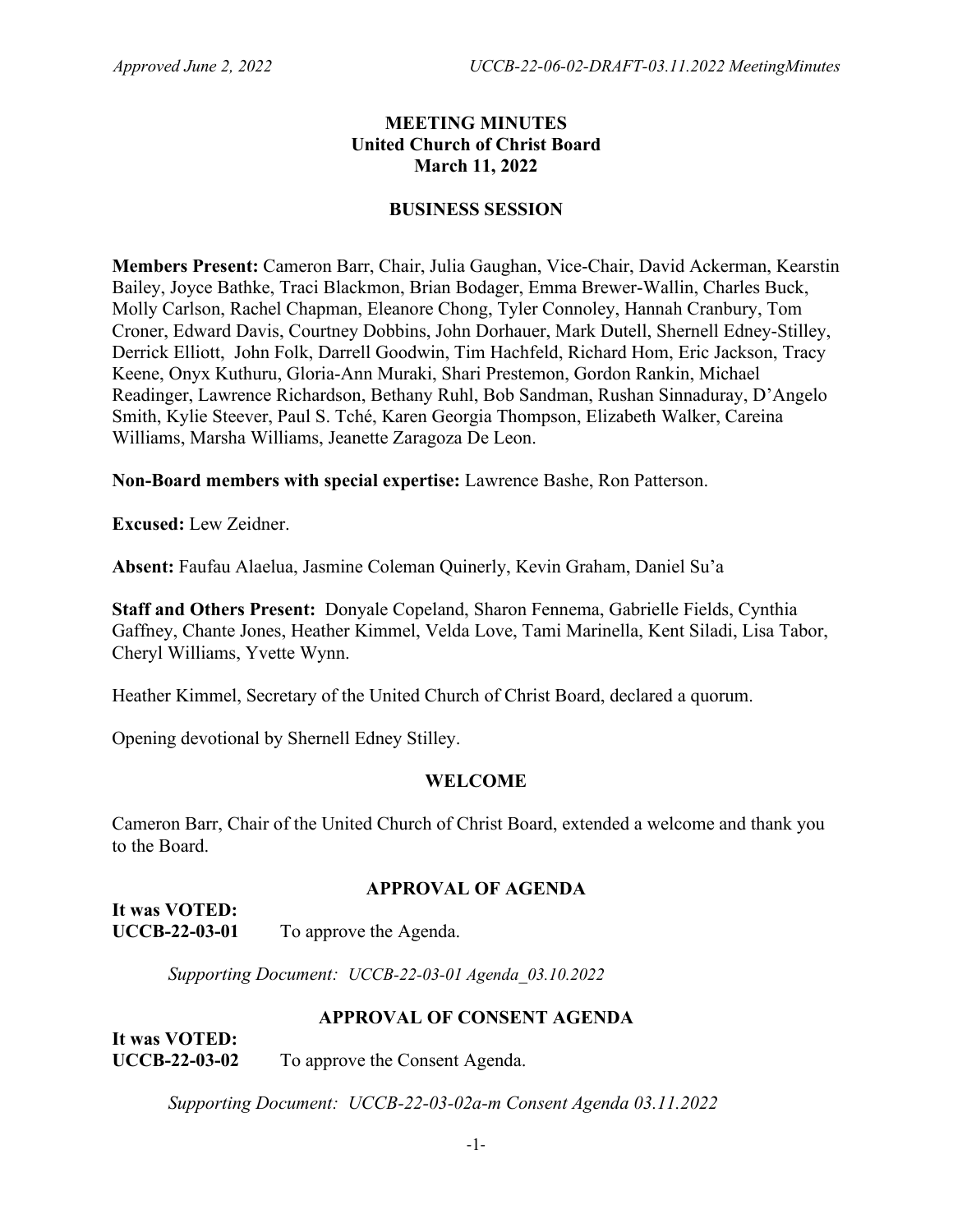#### **MEETING MINUTES United Church of Christ Board March 11, 2022**

#### **BUSINESS SESSION**

**Members Present:** Cameron Barr, Chair, Julia Gaughan, Vice-Chair, David Ackerman, Kearstin Bailey, Joyce Bathke, Traci Blackmon, Brian Bodager, Emma Brewer-Wallin, Charles Buck, Molly Carlson, Rachel Chapman, Eleanore Chong, Tyler Connoley, Hannah Cranbury, Tom Croner, Edward Davis, Courtney Dobbins, John Dorhauer, Mark Dutell, Shernell Edney-Stilley, Derrick Elliott, John Folk, Darrell Goodwin, Tim Hachfeld, Richard Hom, Eric Jackson, Tracy Keene, Onyx Kuthuru, Gloria-Ann Muraki, Shari Prestemon, Gordon Rankin, Michael Readinger, Lawrence Richardson, Bethany Ruhl, Bob Sandman, Rushan Sinnaduray, D'Angelo Smith, Kylie Steever, Paul S. Tché, Karen Georgia Thompson, Elizabeth Walker, Careina Williams, Marsha Williams, Jeanette Zaragoza De Leon.

**Non-Board members with special expertise:** Lawrence Bashe, Ron Patterson.

**Excused:** Lew Zeidner.

**Absent:** Faufau Alaelua, Jasmine Coleman Quinerly, Kevin Graham, Daniel Su'a

**Staff and Others Present:** Donyale Copeland, Sharon Fennema, Gabrielle Fields, Cynthia Gaffney, Chante Jones, Heather Kimmel, Velda Love, Tami Marinella, Kent Siladi, Lisa Tabor, Cheryl Williams, Yvette Wynn.

Heather Kimmel, Secretary of the United Church of Christ Board, declared a quorum.

Opening devotional by Shernell Edney Stilley.

## **WELCOME**

Cameron Barr, Chair of the United Church of Christ Board, extended a welcome and thank you to the Board.

## **APPROVAL OF AGENDA**

**It was VOTED: UCCB-22-03-01** To approve the Agenda.

*Supporting Document: UCCB-22-03-01 Agenda\_03.10.2022*

## **APPROVAL OF CONSENT AGENDA**

**It was VOTED: UCCB-22-03-02** To approve the Consent Agenda.

*Supporting Document: UCCB-22-03-02a-m Consent Agenda 03.11.2022*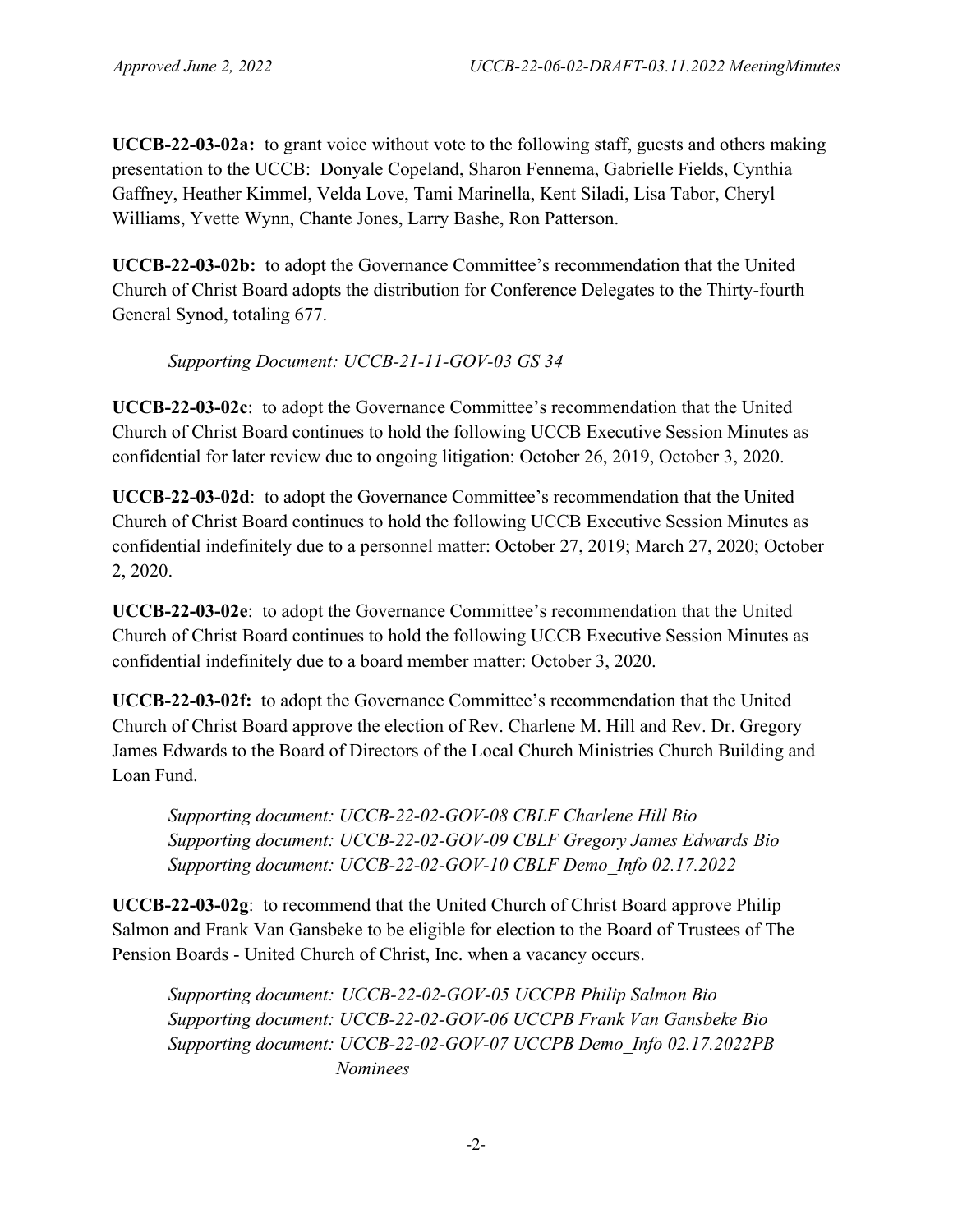**UCCB-22-03-02a:** to grant voice without vote to the following staff, guests and others making presentation to the UCCB: Donyale Copeland, Sharon Fennema, Gabrielle Fields, Cynthia Gaffney, Heather Kimmel, Velda Love, Tami Marinella, Kent Siladi, Lisa Tabor, Cheryl Williams, Yvette Wynn, Chante Jones, Larry Bashe, Ron Patterson.

**UCCB-22-03-02b:** to adopt the Governance Committee's recommendation that the United Church of Christ Board adopts the distribution for Conference Delegates to the Thirty-fourth General Synod, totaling 677.

*Supporting Document: UCCB-21-11-GOV-03 GS 34* 

**UCCB-22-03-02c**: to adopt the Governance Committee's recommendation that the United Church of Christ Board continues to hold the following UCCB Executive Session Minutes as confidential for later review due to ongoing litigation: October 26, 2019, October 3, 2020.

**UCCB-22-03-02d**: to adopt the Governance Committee's recommendation that the United Church of Christ Board continues to hold the following UCCB Executive Session Minutes as confidential indefinitely due to a personnel matter: October 27, 2019; March 27, 2020; October 2, 2020.

**UCCB-22-03-02e**: to adopt the Governance Committee's recommendation that the United Church of Christ Board continues to hold the following UCCB Executive Session Minutes as confidential indefinitely due to a board member matter: October 3, 2020.

**UCCB-22-03-02f:** to adopt the Governance Committee's recommendation that the United Church of Christ Board approve the election of Rev. Charlene M. Hill and Rev. Dr. Gregory James Edwards to the Board of Directors of the Local Church Ministries Church Building and Loan Fund.

*Supporting document: UCCB-22-02-GOV-08 CBLF Charlene Hill Bio Supporting document: UCCB-22-02-GOV-09 CBLF Gregory James Edwards Bio Supporting document: UCCB-22-02-GOV-10 CBLF Demo\_Info 02.17.2022*

**UCCB-22-03-02g**: to recommend that the United Church of Christ Board approve Philip Salmon and Frank Van Gansbeke to be eligible for election to the Board of Trustees of The Pension Boards - United Church of Christ, Inc. when a vacancy occurs.

*Supporting document: UCCB-22-02-GOV-05 UCCPB Philip Salmon Bio Supporting document: UCCB-22-02-GOV-06 UCCPB Frank Van Gansbeke Bio Supporting document: UCCB-22-02-GOV-07 UCCPB Demo\_Info 02.17.2022PB Nominees*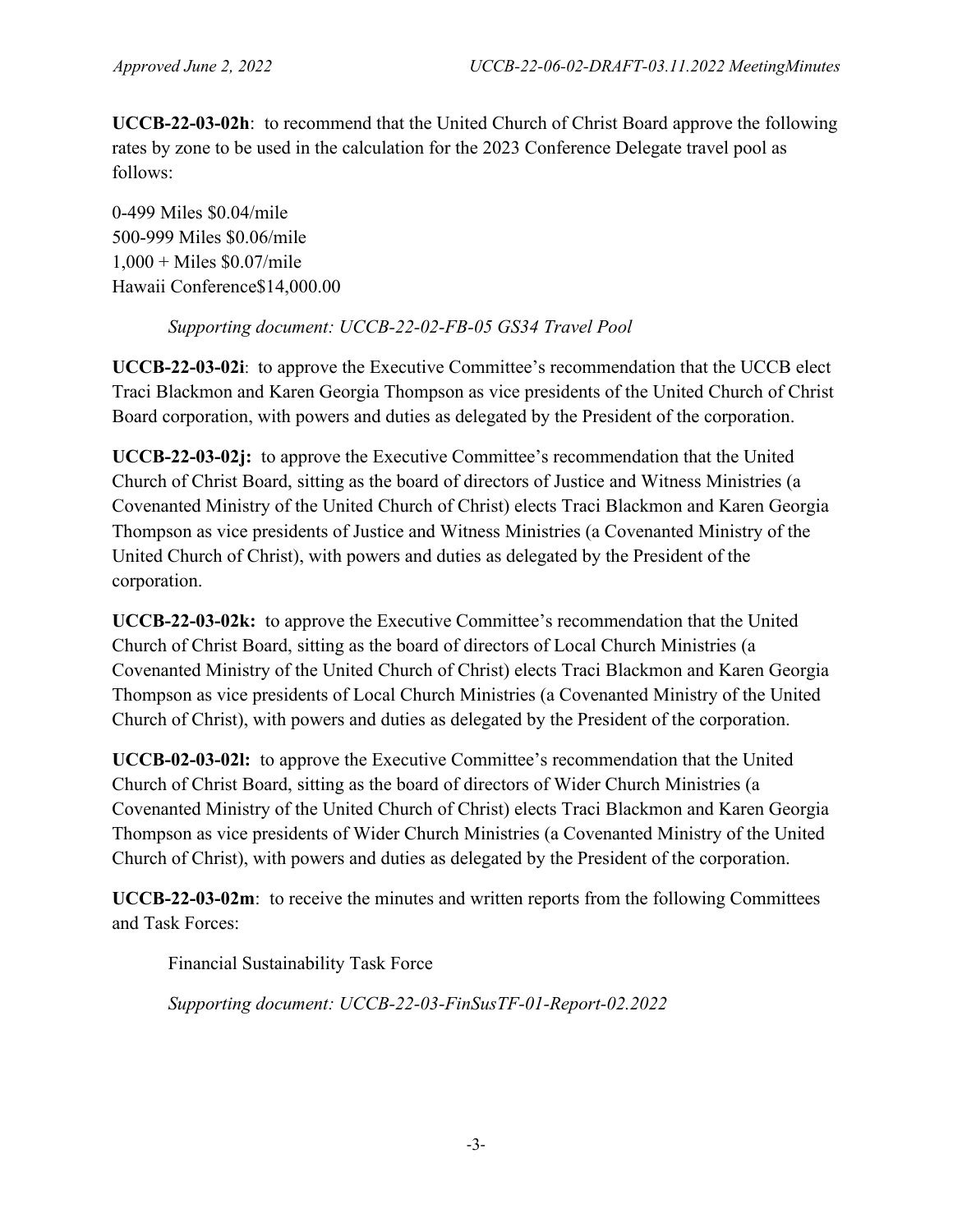**UCCB-22-03-02h**: to recommend that the United Church of Christ Board approve the following rates by zone to be used in the calculation for the 2023 Conference Delegate travel pool as follows:

0-499 Miles \$0.04/mile 500-999 Miles \$0.06/mile  $1,000 +$  Miles \$0.07/mile Hawaii Conference\$14,000.00

# *Supporting document: UCCB-22-02-FB-05 GS34 Travel Pool*

**UCCB-22-03-02i**: to approve the Executive Committee's recommendation that the UCCB elect Traci Blackmon and Karen Georgia Thompson as vice presidents of the United Church of Christ Board corporation, with powers and duties as delegated by the President of the corporation.

**UCCB-22-03-02j:** to approve the Executive Committee's recommendation that the United Church of Christ Board, sitting as the board of directors of Justice and Witness Ministries (a Covenanted Ministry of the United Church of Christ) elects Traci Blackmon and Karen Georgia Thompson as vice presidents of Justice and Witness Ministries (a Covenanted Ministry of the United Church of Christ), with powers and duties as delegated by the President of the corporation.

**UCCB-22-03-02k:** to approve the Executive Committee's recommendation that the United Church of Christ Board, sitting as the board of directors of Local Church Ministries (a Covenanted Ministry of the United Church of Christ) elects Traci Blackmon and Karen Georgia Thompson as vice presidents of Local Church Ministries (a Covenanted Ministry of the United Church of Christ), with powers and duties as delegated by the President of the corporation.

**UCCB-02-03-02l:** to approve the Executive Committee's recommendation that the United Church of Christ Board, sitting as the board of directors of Wider Church Ministries (a Covenanted Ministry of the United Church of Christ) elects Traci Blackmon and Karen Georgia Thompson as vice presidents of Wider Church Ministries (a Covenanted Ministry of the United Church of Christ), with powers and duties as delegated by the President of the corporation.

**UCCB-22-03-02m**: to receive the minutes and written reports from the following Committees and Task Forces:

Financial Sustainability Task Force

*Supporting document: UCCB-22-03-FinSusTF-01-Report-02.2022*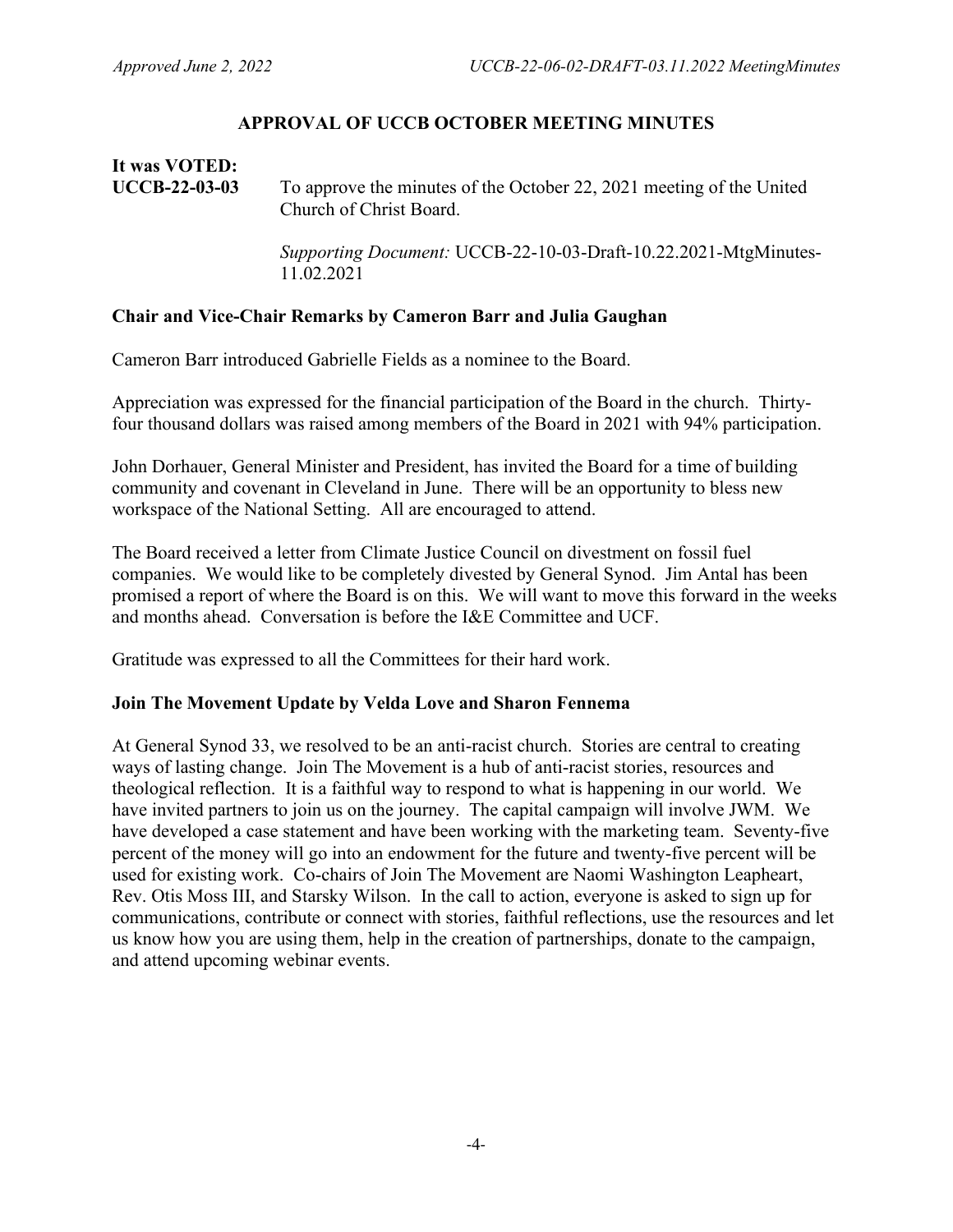#### **APPROVAL OF UCCB OCTOBER MEETING MINUTES**

**It was VOTED: UCCB-22-03-03** To approve the minutes of the October 22, 2021 meeting of the United Church of Christ Board.

> *Supporting Document:* UCCB-22-10-03-Draft-10.22.2021-MtgMinutes-11.02.2021

#### **Chair and Vice-Chair Remarks by Cameron Barr and Julia Gaughan**

Cameron Barr introduced Gabrielle Fields as a nominee to the Board.

Appreciation was expressed for the financial participation of the Board in the church. Thirtyfour thousand dollars was raised among members of the Board in 2021 with 94% participation.

John Dorhauer, General Minister and President, has invited the Board for a time of building community and covenant in Cleveland in June. There will be an opportunity to bless new workspace of the National Setting. All are encouraged to attend.

The Board received a letter from Climate Justice Council on divestment on fossil fuel companies. We would like to be completely divested by General Synod. Jim Antal has been promised a report of where the Board is on this. We will want to move this forward in the weeks and months ahead. Conversation is before the I&E Committee and UCF.

Gratitude was expressed to all the Committees for their hard work.

#### **Join The Movement Update by Velda Love and Sharon Fennema**

At General Synod 33, we resolved to be an anti-racist church. Stories are central to creating ways of lasting change. Join The Movement is a hub of anti-racist stories, resources and theological reflection. It is a faithful way to respond to what is happening in our world. We have invited partners to join us on the journey. The capital campaign will involve JWM. We have developed a case statement and have been working with the marketing team. Seventy-five percent of the money will go into an endowment for the future and twenty-five percent will be used for existing work. Co-chairs of Join The Movement are Naomi Washington Leapheart, Rev. Otis Moss III, and Starsky Wilson. In the call to action, everyone is asked to sign up for communications, contribute or connect with stories, faithful reflections, use the resources and let us know how you are using them, help in the creation of partnerships, donate to the campaign, and attend upcoming webinar events.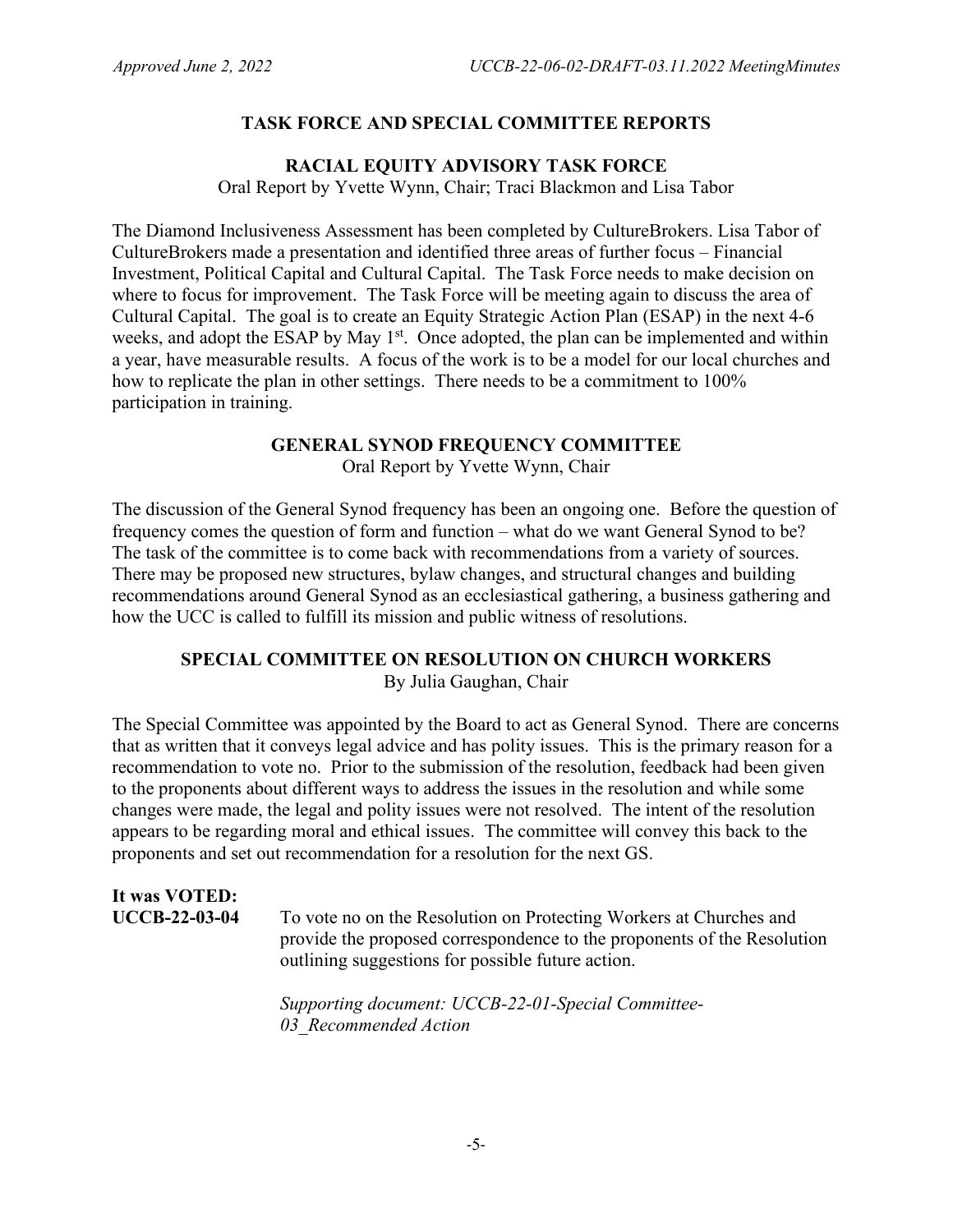#### **TASK FORCE AND SPECIAL COMMITTEE REPORTS**

#### **RACIAL EQUITY ADVISORY TASK FORCE** Oral Report by Yvette Wynn, Chair; Traci Blackmon and Lisa Tabor

The Diamond Inclusiveness Assessment has been completed by CultureBrokers. Lisa Tabor of CultureBrokers made a presentation and identified three areas of further focus – Financial Investment, Political Capital and Cultural Capital. The Task Force needs to make decision on where to focus for improvement. The Task Force will be meeting again to discuss the area of Cultural Capital. The goal is to create an Equity Strategic Action Plan (ESAP) in the next 4-6 weeks, and adopt the ESAP by May 1<sup>st</sup>. Once adopted, the plan can be implemented and within a year, have measurable results. A focus of the work is to be a model for our local churches and how to replicate the plan in other settings. There needs to be a commitment to 100% participation in training.

#### **GENERAL SYNOD FREQUENCY COMMITTEE**

Oral Report by Yvette Wynn, Chair

The discussion of the General Synod frequency has been an ongoing one. Before the question of frequency comes the question of form and function – what do we want General Synod to be? The task of the committee is to come back with recommendations from a variety of sources. There may be proposed new structures, bylaw changes, and structural changes and building recommendations around General Synod as an ecclesiastical gathering, a business gathering and how the UCC is called to fulfill its mission and public witness of resolutions.

## **SPECIAL COMMITTEE ON RESOLUTION ON CHURCH WORKERS**

By Julia Gaughan, Chair

The Special Committee was appointed by the Board to act as General Synod. There are concerns that as written that it conveys legal advice and has polity issues. This is the primary reason for a recommendation to vote no. Prior to the submission of the resolution, feedback had been given to the proponents about different ways to address the issues in the resolution and while some changes were made, the legal and polity issues were not resolved. The intent of the resolution appears to be regarding moral and ethical issues. The committee will convey this back to the proponents and set out recommendation for a resolution for the next GS.

# **It was VOTED:**

**UCCB-22-03-04** To vote no on the Resolution on Protecting Workers at Churches and provide the proposed correspondence to the proponents of the Resolution outlining suggestions for possible future action.

> *Supporting document: UCCB-22-01-Special Committee-03\_Recommended Action*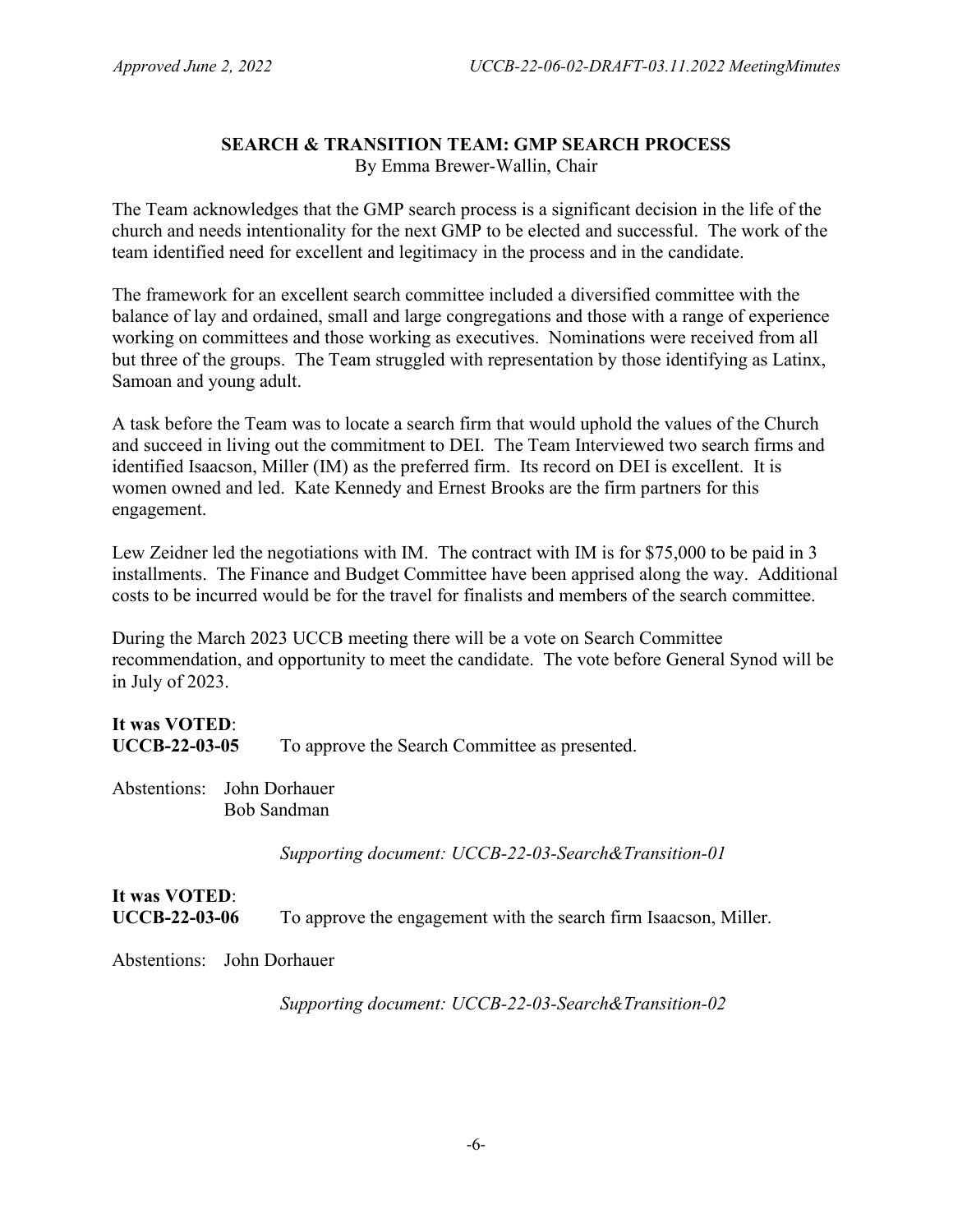#### **SEARCH & TRANSITION TEAM: GMP SEARCH PROCESS** By Emma Brewer-Wallin, Chair

The Team acknowledges that the GMP search process is a significant decision in the life of the church and needs intentionality for the next GMP to be elected and successful. The work of the team identified need for excellent and legitimacy in the process and in the candidate.

The framework for an excellent search committee included a diversified committee with the balance of lay and ordained, small and large congregations and those with a range of experience working on committees and those working as executives. Nominations were received from all but three of the groups. The Team struggled with representation by those identifying as Latinx, Samoan and young adult.

A task before the Team was to locate a search firm that would uphold the values of the Church and succeed in living out the commitment to DEI. The Team Interviewed two search firms and identified Isaacson, Miller (IM) as the preferred firm. Its record on DEI is excellent. It is women owned and led. Kate Kennedy and Ernest Brooks are the firm partners for this engagement.

Lew Zeidner led the negotiations with IM. The contract with IM is for \$75,000 to be paid in 3 installments. The Finance and Budget Committee have been apprised along the way. Additional costs to be incurred would be for the travel for finalists and members of the search committee.

During the March 2023 UCCB meeting there will be a vote on Search Committee recommendation, and opportunity to meet the candidate. The vote before General Synod will be in July of 2023.

| It was VOTED:        |                                               |
|----------------------|-----------------------------------------------|
| <b>UCCB-22-03-05</b> | To approve the Search Committee as presented. |

Abstentions: John Dorhauer Bob Sandman

*Supporting document: UCCB-22-03-Search&Transition-01* 

# **It was VOTED**: **UCCB-22-03-06** To approve the engagement with the search firm Isaacson, Miller.

Abstentions: John Dorhauer

*Supporting document: UCCB-22-03-Search&Transition-02*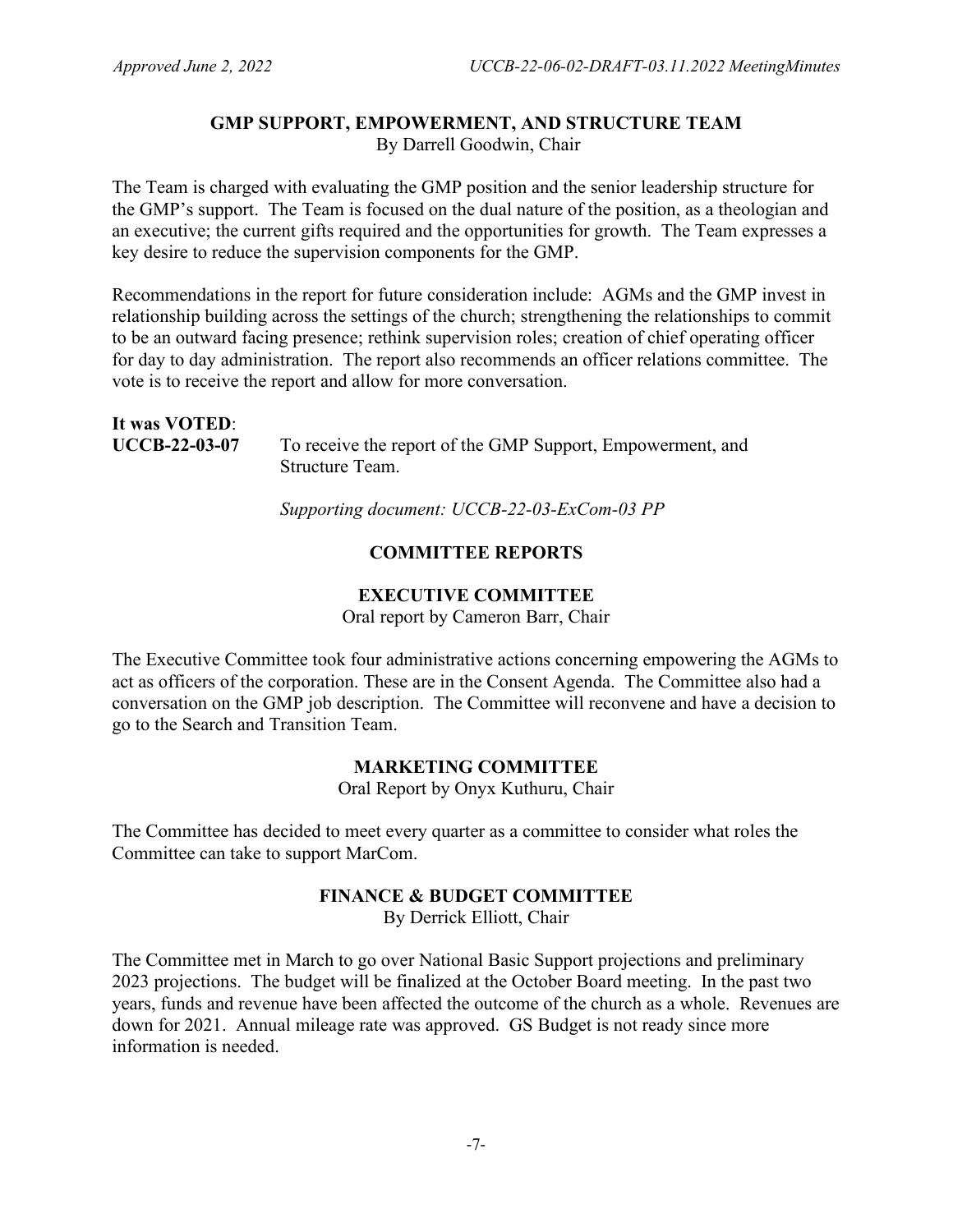#### **GMP SUPPORT, EMPOWERMENT, AND STRUCTURE TEAM** By Darrell Goodwin, Chair

The Team is charged with evaluating the GMP position and the senior leadership structure for the GMP's support. The Team is focused on the dual nature of the position, as a theologian and an executive; the current gifts required and the opportunities for growth. The Team expresses a key desire to reduce the supervision components for the GMP.

Recommendations in the report for future consideration include: AGMs and the GMP invest in relationship building across the settings of the church; strengthening the relationships to commit to be an outward facing presence; rethink supervision roles; creation of chief operating officer for day to day administration. The report also recommends an officer relations committee. The vote is to receive the report and allow for more conversation.

| It was <b>VOTED</b> : |                                                                               |
|-----------------------|-------------------------------------------------------------------------------|
| <b>UCCB-22-03-07</b>  | To receive the report of the GMP Support, Empowerment, and<br>Structure Team. |

*Supporting document: UCCB-22-03-ExCom-03 PP*

# **COMMITTEE REPORTS**

## **EXECUTIVE COMMITTEE**

Oral report by Cameron Barr, Chair

The Executive Committee took four administrative actions concerning empowering the AGMs to act as officers of the corporation. These are in the Consent Agenda. The Committee also had a conversation on the GMP job description. The Committee will reconvene and have a decision to go to the Search and Transition Team.

## **MARKETING COMMITTEE**

Oral Report by Onyx Kuthuru, Chair

The Committee has decided to meet every quarter as a committee to consider what roles the Committee can take to support MarCom.

## **FINANCE & BUDGET COMMITTEE**

By Derrick Elliott, Chair

The Committee met in March to go over National Basic Support projections and preliminary 2023 projections. The budget will be finalized at the October Board meeting. In the past two years, funds and revenue have been affected the outcome of the church as a whole. Revenues are down for 2021. Annual mileage rate was approved. GS Budget is not ready since more information is needed.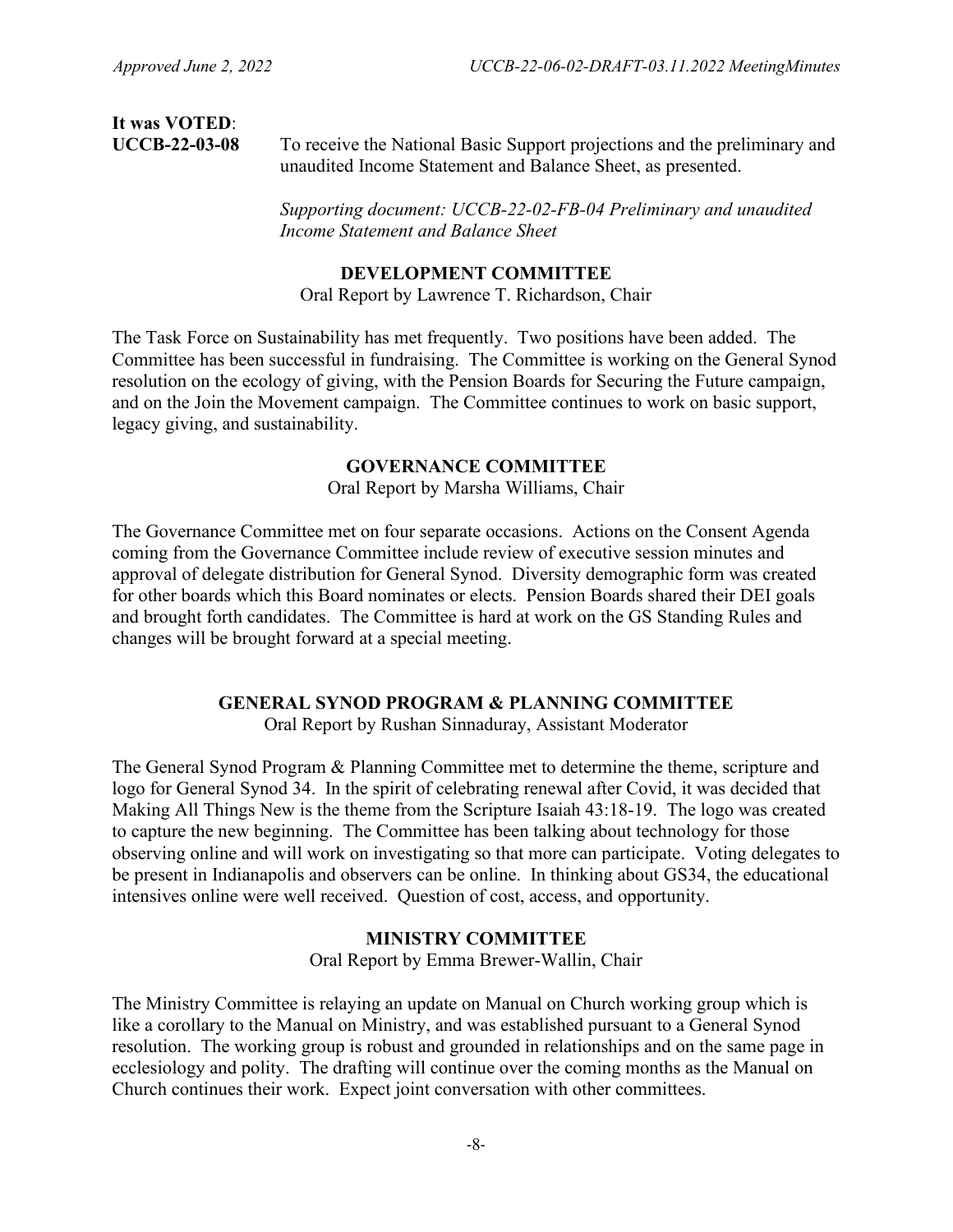# **It was VOTED**:

**UCCB-22-03-08** To receive the National Basic Support projections and the preliminary and unaudited Income Statement and Balance Sheet, as presented.

> *Supporting document: UCCB-22-02-FB-04 Preliminary and unaudited Income Statement and Balance Sheet*

#### **DEVELOPMENT COMMITTEE**

Oral Report by Lawrence T. Richardson, Chair

The Task Force on Sustainability has met frequently. Two positions have been added. The Committee has been successful in fundraising. The Committee is working on the General Synod resolution on the ecology of giving, with the Pension Boards for Securing the Future campaign, and on the Join the Movement campaign. The Committee continues to work on basic support, legacy giving, and sustainability.

# **GOVERNANCE COMMITTEE**

Oral Report by Marsha Williams, Chair

The Governance Committee met on four separate occasions. Actions on the Consent Agenda coming from the Governance Committee include review of executive session minutes and approval of delegate distribution for General Synod. Diversity demographic form was created for other boards which this Board nominates or elects. Pension Boards shared their DEI goals and brought forth candidates. The Committee is hard at work on the GS Standing Rules and changes will be brought forward at a special meeting.

#### **GENERAL SYNOD PROGRAM & PLANNING COMMITTEE**

Oral Report by Rushan Sinnaduray, Assistant Moderator

The General Synod Program & Planning Committee met to determine the theme, scripture and logo for General Synod 34. In the spirit of celebrating renewal after Covid, it was decided that Making All Things New is the theme from the Scripture Isaiah 43:18-19. The logo was created to capture the new beginning. The Committee has been talking about technology for those observing online and will work on investigating so that more can participate. Voting delegates to be present in Indianapolis and observers can be online. In thinking about GS34, the educational intensives online were well received. Question of cost, access, and opportunity.

#### **MINISTRY COMMITTEE**

Oral Report by Emma Brewer-Wallin, Chair

The Ministry Committee is relaying an update on Manual on Church working group which is like a corollary to the Manual on Ministry, and was established pursuant to a General Synod resolution. The working group is robust and grounded in relationships and on the same page in ecclesiology and polity. The drafting will continue over the coming months as the Manual on Church continues their work. Expect joint conversation with other committees.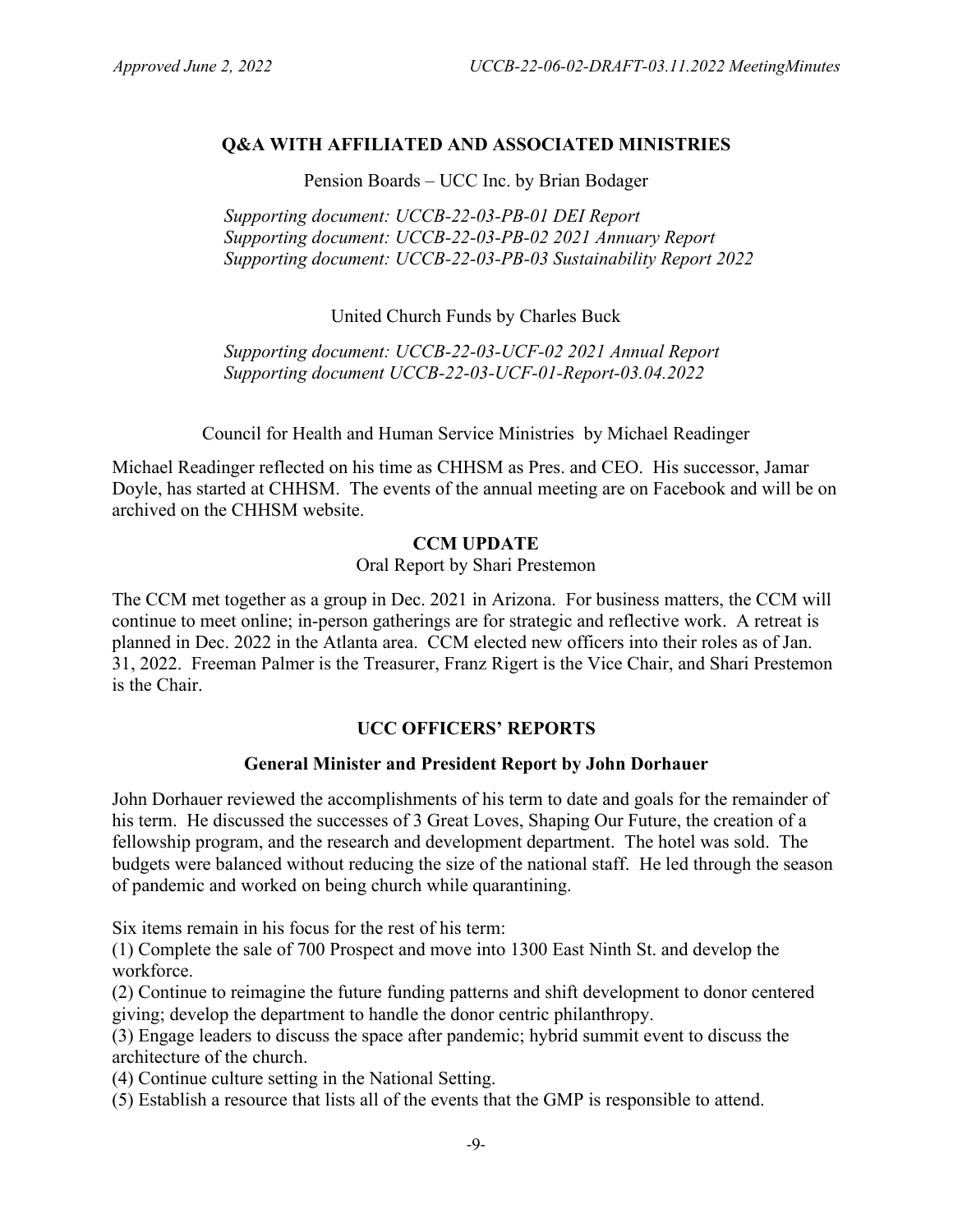## **Q&A WITH AFFILIATED AND ASSOCIATED MINISTRIES**

Pension Boards – UCC Inc. by Brian Bodager

*Supporting document: UCCB-22-03-PB-01 DEI Report Supporting document: UCCB-22-03-PB-02 2021 Annuary Report Supporting document: UCCB-22-03-PB-03 Sustainability Report 2022*

United Church Funds by Charles Buck

*Supporting document: UCCB-22-03-UCF-02 2021 Annual Report Supporting document UCCB-22-03-UCF-01-Report-03.04.2022*

Council for Health and Human Service Ministries by Michael Readinger

Michael Readinger reflected on his time as CHHSM as Pres. and CEO. His successor, Jamar Doyle, has started at CHHSM. The events of the annual meeting are on Facebook and will be on archived on the CHHSM website.

#### **CCM UPDATE**

Oral Report by Shari Prestemon

The CCM met together as a group in Dec. 2021 in Arizona. For business matters, the CCM will continue to meet online; in-person gatherings are for strategic and reflective work. A retreat is planned in Dec. 2022 in the Atlanta area. CCM elected new officers into their roles as of Jan. 31, 2022. Freeman Palmer is the Treasurer, Franz Rigert is the Vice Chair, and Shari Prestemon is the Chair.

## **UCC OFFICERS' REPORTS**

## **General Minister and President Report by John Dorhauer**

John Dorhauer reviewed the accomplishments of his term to date and goals for the remainder of his term. He discussed the successes of 3 Great Loves, Shaping Our Future, the creation of a fellowship program, and the research and development department. The hotel was sold. The budgets were balanced without reducing the size of the national staff. He led through the season of pandemic and worked on being church while quarantining.

Six items remain in his focus for the rest of his term:

(1) Complete the sale of 700 Prospect and move into 1300 East Ninth St. and develop the workforce.

(2) Continue to reimagine the future funding patterns and shift development to donor centered giving; develop the department to handle the donor centric philanthropy.

(3) Engage leaders to discuss the space after pandemic; hybrid summit event to discuss the architecture of the church.

(4) Continue culture setting in the National Setting.

(5) Establish a resource that lists all of the events that the GMP is responsible to attend.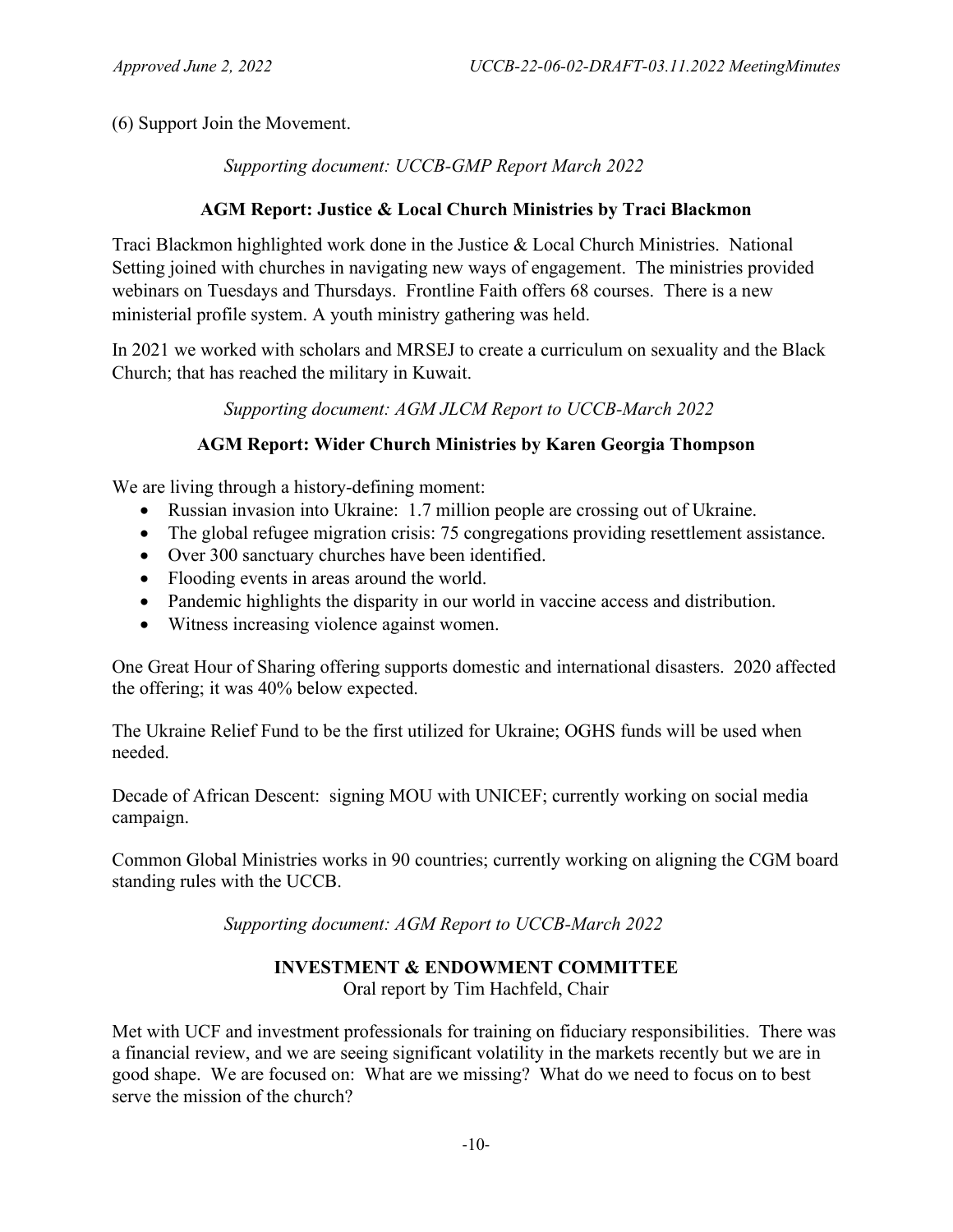(6) Support Join the Movement.

*Supporting document: UCCB-GMP Report March 2022*

# **AGM Report: Justice & Local Church Ministries by Traci Blackmon**

Traci Blackmon highlighted work done in the Justice & Local Church Ministries. National Setting joined with churches in navigating new ways of engagement. The ministries provided webinars on Tuesdays and Thursdays. Frontline Faith offers 68 courses. There is a new ministerial profile system. A youth ministry gathering was held.

In 2021 we worked with scholars and MRSEJ to create a curriculum on sexuality and the Black Church; that has reached the military in Kuwait.

*Supporting document: AGM JLCM Report to UCCB-March 2022*

# **AGM Report: Wider Church Ministries by Karen Georgia Thompson**

We are living through a history-defining moment:

- Russian invasion into Ukraine: 1.7 million people are crossing out of Ukraine.
- The global refugee migration crisis: 75 congregations providing resettlement assistance.
- Over 300 sanctuary churches have been identified.
- Flooding events in areas around the world.
- Pandemic highlights the disparity in our world in vaccine access and distribution.
- Witness increasing violence against women.

One Great Hour of Sharing offering supports domestic and international disasters. 2020 affected the offering; it was 40% below expected.

The Ukraine Relief Fund to be the first utilized for Ukraine; OGHS funds will be used when needed.

Decade of African Descent: signing MOU with UNICEF; currently working on social media campaign.

Common Global Ministries works in 90 countries; currently working on aligning the CGM board standing rules with the UCCB.

*Supporting document: AGM Report to UCCB-March 2022*

# **INVESTMENT & ENDOWMENT COMMITTEE**

Oral report by Tim Hachfeld, Chair

Met with UCF and investment professionals for training on fiduciary responsibilities. There was a financial review, and we are seeing significant volatility in the markets recently but we are in good shape. We are focused on: What are we missing? What do we need to focus on to best serve the mission of the church?